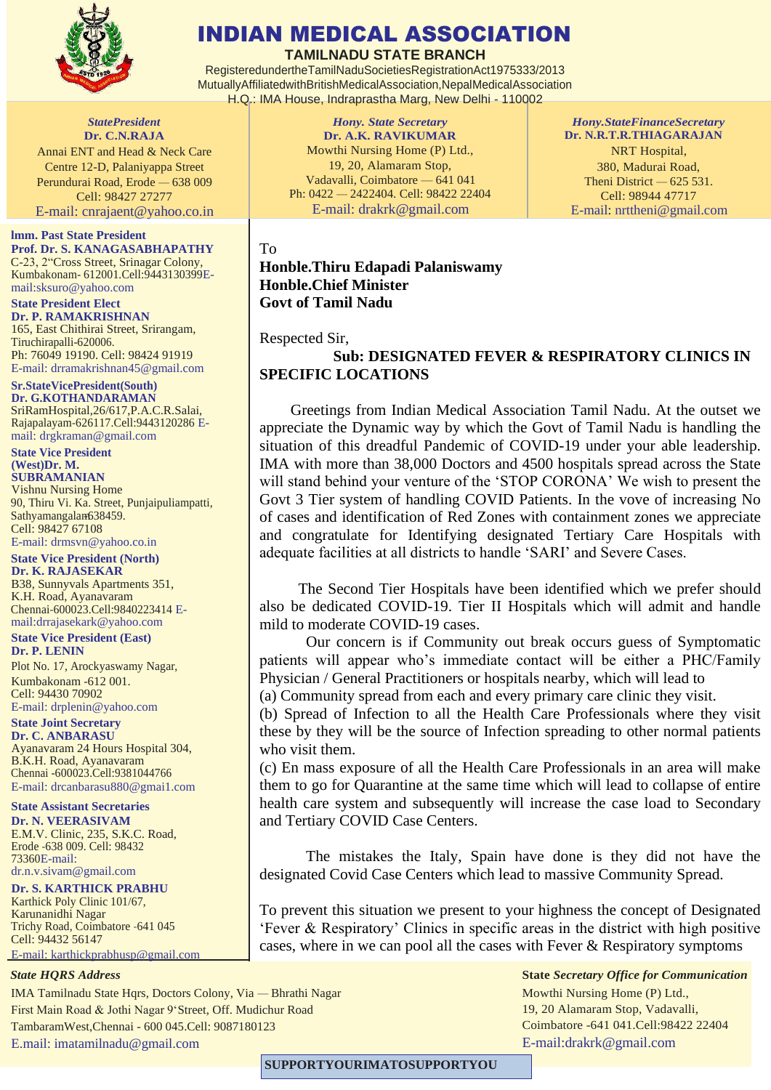

# INDIAN MEDICAL ASSOCIATION

**TAMILNADU STATE BRANCH**

RegisteredundertheTamilNaduSocietiesRegistrationAct1975333/2013 MutuallyAffiliatedwithBritishMedicalAssociation,NepalMedicalAssociation H.Q.: IMA House, Indraprastha Marg, New Delhi - 110002

*StatePresident* **Dr. C.N.RAJA** Annai ENT and Head & Neck Care Centre 12-D, Palaniyappa Street Perundurai Road, Erode — 638 009 Cell: 98427 27277 E-mail: [cnrajaent@yahoo.co.in](mailto:cnrajaent@yahoo.co.in)

**lmm. Past State President Prof. Dr. S. KANAGASABHAPATHY** C-23, 2"Cross Street, Srinagar Colony, Kumbakonam- 612001.Cell:9443130399Email[:sksuro@yahoo.com](mailto:sksuro@yahoo.com)

**State President Elect Dr. P. RAMAKRISHNAN** 165, East Chithirai Street, Srirangam, Tiruchirapalli-620006. Ph: 76049 19190. Cell: 98424 91919 E-mail: [drramakrishnan45@gmail.com](mailto:drramakrishnan45@gmail.com)

**Sr.StateVicePresident(South) Dr. G.KOTHANDARAMAN** SriRamHospital,26/617,P.A.C.R.Salai, Rajapalayam-626117.Cell:9443120286 Email: [drgkraman@gmail.com](mailto:drgkraman@gmail.com)

**State Vice President (West)Dr. M. SUBRAMANIAN** Vishnu Nursing Home 90, Thiru Vi. Ka. Street, Punjaipuliampatti, Sathyamangalam 638459. Cell: 98427 67108 E-mail: [drmsvn@yahoo.co.in](mailto:drmsvn@yahoo.co.in)

## **State Vice President (North)**

**Dr. K. RAJASEKAR** B38, Sunnyvals Apartments 351, K.H. Road, Ayanavaram Chennai-600023.Cell:9840223414 Email[:drrajasekark@yahoo.com](mailto:drrajasekark@yahoo.com)

#### **State Vice President (East) Dr. P. LENIN**

Plot No. 17, Arockyaswamy Nagar, Kumbakonam -612 001. Cell: 94430 70902 E-mail: [drplenin@yahoo.com](mailto:drplenin@yahoo.com)

### **State Joint Secretary**

**Dr. C. ANBARASU** Ayanavaram 24 Hours Hospital 304, B.K.H. Road, Ayanavaram Chennai -600023.Cell:9381044766 E-mail: [drcanbarasu880@gmai1.com](mailto:drcanbarasu880@gmai1.com)

**State Assistant Secretaries Dr. N. VEERASIVAM** E.M.V. Clinic, 235, S.K.C. Road, Erode -638 009. Cell: 98432 73360E-mail: [dr.n.v.sivam@gmail.com](mailto:dr.n.v.sivam@gmail.com)

#### **Dr. S. KARTHICK PRABHU** Karthick Poly Clinic 101/67,

Karunanidhi Nagar Trichy Road, Coimbatore -641 045 Cell: 94432 56147 E-mail: [karthickprabhusp@gmail.com](mailto:karthickprabhusp@gmail.com)

#### *State HQRS Address*

IMA Tamilnadu State Hqrs, Doctors Colony, Via — Bhrathi Nagar First Main Road & Jothi Nagar 9'Street, Off. Mudichur Road TambaramWest,Chennai - 600 045.Cell: 9087180123 E.mail: [imatamilnadu@gmail.com](mailto:imatamilnadu@gmail.com)

*Hony. State Secretary* **Dr. A.K. RAVIKUMAR** Mowthi Nursing Home (P) Ltd., 19, 20, Alamaram Stop, Vadavalli, Coimbatore — 641 041 Ph: 0422 — 2422404. Cell: 98422 22404 E-mail: [drakrk@gmail.com](mailto:drakrk@gmail.com)

*Hony.StateFinanceSecretary* **Dr. N.R.T.R.THIAGARAJAN** NRT Hospital, 380, Madurai Road, Theni District — 625 531. Cell: 98944 47717 E-mail: [nrttheni@gmail.com](mailto:nrttheni@gmail.com)

#### To

**Honble.Thiru Edapadi Palaniswamy Honble.Chief Minister Govt of Tamil Nadu**

#### Respected Sir,

 **Sub: DESIGNATED FEVER & RESPIRATORY CLINICS IN SPECIFIC LOCATIONS**

 Greetings from Indian Medical Association Tamil Nadu. At the outset we appreciate the Dynamic way by which the Govt of Tamil Nadu is handling the situation of this dreadful Pandemic of COVID-19 under your able leadership. IMA with more than 38,000 Doctors and 4500 hospitals spread across the State will stand behind your venture of the 'STOP CORONA' We wish to present the Govt 3 Tier system of handling COVID Patients. In the vove of increasing No of cases and identification of Red Zones with containment zones we appreciate and congratulate for Identifying designated Tertiary Care Hospitals with adequate facilities at all districts to handle 'SARI' and Severe Cases.

 The Second Tier Hospitals have been identified which we prefer should also be dedicated COVID-19. Tier II Hospitals which will admit and handle mild to moderate COVID-19 cases.

Our concern is if Community out break occurs guess of Symptomatic patients will appear who's immediate contact will be either a PHC/Family Physician / General Practitioners or hospitals nearby, which will lead to

(a) Community spread from each and every primary care clinic they visit.

(b) Spread of Infection to all the Health Care Professionals where they visit these by they will be the source of Infection spreading to other normal patients who visit them.

(c) En mass exposure of all the Health Care Professionals in an area will make them to go for Quarantine at the same time which will lead to collapse of entire health care system and subsequently will increase the case load to Secondary and Tertiary COVID Case Centers.

 The mistakes the Italy, Spain have done is they did not have the designated Covid Case Centers which lead to massive Community Spread.

To prevent this situation we present to your highness the concept of Designated 'Fever & Respiratory' Clinics in specific areas in the district with high positive cases, where in we can pool all the cases with Fever & Respiratory symptoms

> **State** *Secretary Office for Communication* Mowthi Nursing Home (P) Ltd., 19, 20 Alamaram Stop, Vadavalli, Coimbatore -641 041.Cell:98422 22404 [E-mail:drakrk@gmail.com](mailto:drakrk@gmail.com)

**SUPPORTYOURIMATOSUPPORTYOU**